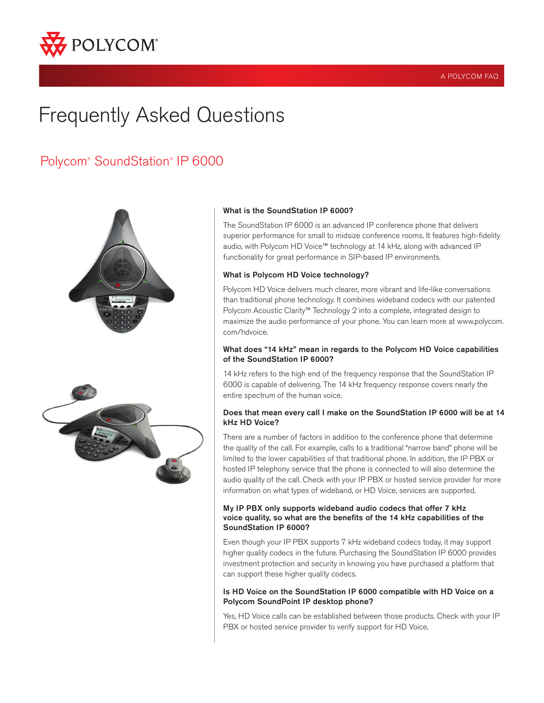

# Frequently Asked Questions

## Polycom® SoundStation® IP 6000





#### What is the SoundStation IP 6000?

The SoundStation IP 6000 is an advanced IP conference phone that delivers superior performance for small to midsize conference rooms. It features high-fidelity audio, with Polycom HD Voice™ technology at 14 kHz, along with advanced IP functionality for great performance in SIP-based IP environments.

#### What is Polycom HD Voice technology?

Polycom HD Voice delivers much clearer, more vibrant and life-like conversations than traditional phone technology. It combines wideband codecs with our patented Polycom Acoustic Clarity™ Technology 2 into a complete, integrated design to maximize the audio performance of your phone. You can learn more at www.polycom. com/hdvoice.

### What does "14 kHz" mean in regards to the Polycom HD Voice capabilities of the SoundStation IP 6000?

14 kHz refers to the high end of the frequency response that the SoundStation IP 6000 is capable of delivering. The 14 kHz frequency response covers nearly the entire spectrum of the human voice.

### Does that mean every call I make on the SoundStation IP 6000 will be at 14 kHz HD Voice?

There are a number of factors in addition to the conference phone that determine the quality of the call. For example, calls to a traditional "narrow band" phone will be limited to the lower capabilities of that traditional phone. In addition, the IP PBX or hosted IP telephony service that the phone is connected to will also determine the audio quality of the call. Check with your IP PBX or hosted service provider for more information on what types of wideband, or HD Voice, services are supported.

#### My IP PBX only supports wideband audio codecs that offer 7 kHz voice quality, so what are the benefits of the 14 kHz capabilities of the SoundStation IP 6000?

Even though your IP PBX supports 7 kHz wideband codecs today, it may support higher quality codecs in the future. Purchasing the SoundStation IP 6000 provides investment protection and security in knowing you have purchased a platform that can support these higher quality codecs.

### Is HD Voice on the SoundStation IP 6000 compatible with HD Voice on a Polycom SoundPoint IP desktop phone?

Yes, HD Voice calls can be established between those products. Check with your IP PBX or hosted service provider to verify support for HD Voice.